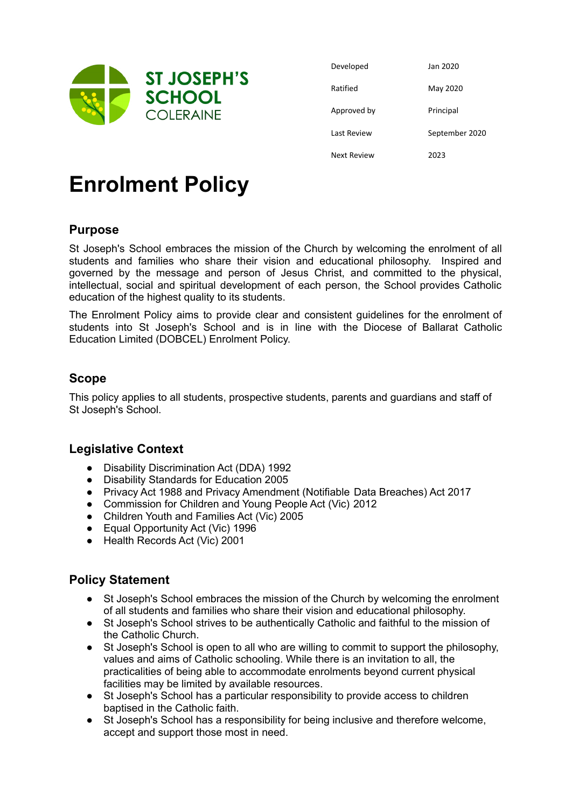

| Developed   | Jan 2020       |
|-------------|----------------|
| Ratified    | May 2020       |
| Approved by | Principal      |
| Last Review | September 2020 |
| Next Review | 2023           |

# **Enrolment Policy**

## **Purpose**

St Joseph's School embraces the mission of the Church by welcoming the enrolment of all students and families who share their vision and educational philosophy. Inspired and governed by the message and person of Jesus Christ, and committed to the physical, intellectual, social and spiritual development of each person, the School provides Catholic education of the highest quality to its students.

The Enrolment Policy aims to provide clear and consistent guidelines for the enrolment of students into St Joseph's School and is in line with the Diocese of Ballarat Catholic Education Limited (DOBCEL) Enrolment Policy.

#### **Scope**

This policy applies to all students, prospective students, parents and guardians and staff of St Joseph's School.

#### **Legislative Context**

- Disability Discrimination Act (DDA) 1992
- Disability Standards for Education 2005
- Privacy Act 1988 and Privacy Amendment (Notifiable Data Breaches) Act 2017
- Commission for Children and Young People Act (Vic) 2012
- Children Youth and Families Act (Vic) 2005
- Equal Opportunity Act (Vic) 1996
- Health Records Act (Vic) 2001

#### **Policy Statement**

- St Joseph's School embraces the mission of the Church by welcoming the enrolment of all students and families who share their vision and educational philosophy.
- St Joseph's School strives to be authentically Catholic and faithful to the mission of the Catholic Church.
- St Joseph's School is open to all who are willing to commit to support the philosophy, values and aims of Catholic schooling. While there is an invitation to all, the practicalities of being able to accommodate enrolments beyond current physical facilities may be limited by available resources.
- St Joseph's School has a particular responsibility to provide access to children baptised in the Catholic faith.
- St Joseph's School has a responsibility for being inclusive and therefore welcome, accept and support those most in need.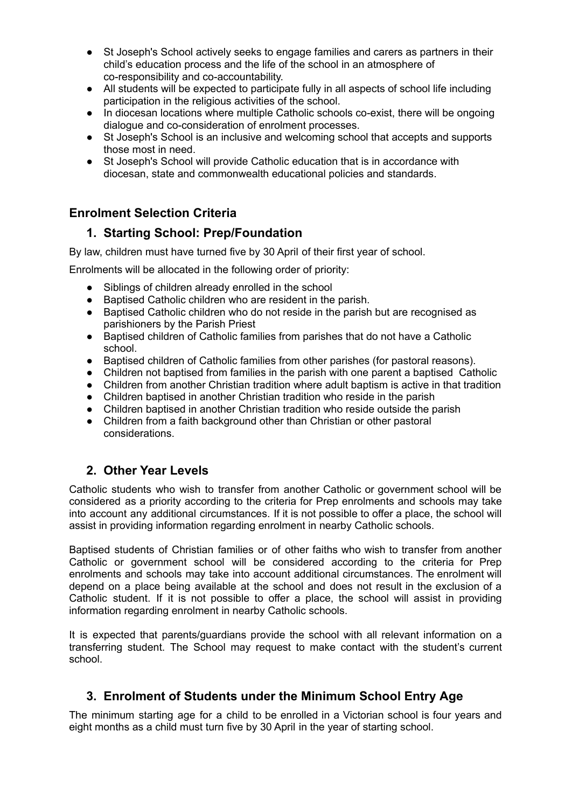- St Joseph's School actively seeks to engage families and carers as partners in their child's education process and the life of the school in an atmosphere of co-responsibility and co-accountability.
- All students will be expected to participate fully in all aspects of school life including participation in the religious activities of the school.
- In diocesan locations where multiple Catholic schools co-exist, there will be ongoing dialogue and co-consideration of enrolment processes.
- St Joseph's School is an inclusive and welcoming school that accepts and supports those most in need.
- St Joseph's School will provide Catholic education that is in accordance with diocesan, state and commonwealth educational policies and standards.

## **Enrolment Selection Criteria**

#### **1. Starting School: Prep/Foundation**

By law, children must have turned five by 30 April of their first year of school.

Enrolments will be allocated in the following order of priority:

- Siblings of children already enrolled in the school
- Baptised Catholic children who are resident in the parish.
- Baptised Catholic children who do not reside in the parish but are recognised as parishioners by the Parish Priest
- Baptised children of Catholic families from parishes that do not have a Catholic school.
- Baptised children of Catholic families from other parishes (for pastoral reasons).
- Children not baptised from families in the parish with one parent a baptised Catholic
- Children from another Christian tradition where adult baptism is active in that tradition
- Children baptised in another Christian tradition who reside in the parish
- Children baptised in another Christian tradition who reside outside the parish
- Children from a faith background other than Christian or other pastoral considerations.

## **2. Other Year Levels**

Catholic students who wish to transfer from another Catholic or government school will be considered as a priority according to the criteria for Prep enrolments and schools may take into account any additional circumstances. If it is not possible to offer a place, the school will assist in providing information regarding enrolment in nearby Catholic schools.

Baptised students of Christian families or of other faiths who wish to transfer from another Catholic or government school will be considered according to the criteria for Prep enrolments and schools may take into account additional circumstances. The enrolment will depend on a place being available at the school and does not result in the exclusion of a Catholic student. If it is not possible to offer a place, the school will assist in providing information regarding enrolment in nearby Catholic schools.

It is expected that parents/guardians provide the school with all relevant information on a transferring student. The School may request to make contact with the student's current school.

## **3. Enrolment of Students under the Minimum School Entry Age**

The minimum starting age for a child to be enrolled in a Victorian school is four years and eight months as a child must turn five by 30 April in the year of starting school.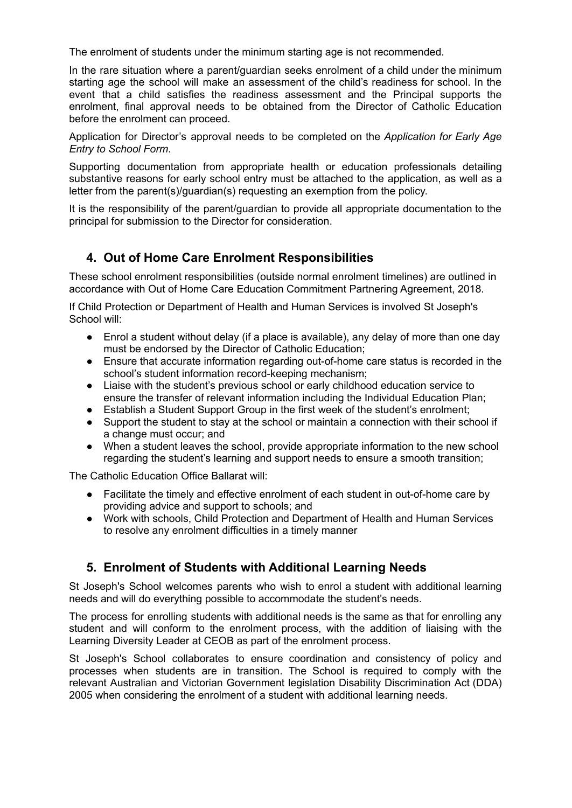The enrolment of students under the minimum starting age is not recommended.

In the rare situation where a parent/guardian seeks enrolment of a child under the minimum starting age the school will make an assessment of the child's readiness for school. In the event that a child satisfies the readiness assessment and the Principal supports the enrolment, final approval needs to be obtained from the Director of Catholic Education before the enrolment can proceed.

Application for Director's approval needs to be completed on the *Application for Early Age Entry to School Form*.

Supporting documentation from appropriate health or education professionals detailing substantive reasons for early school entry must be attached to the application, as well as a letter from the parent(s)/guardian(s) requesting an exemption from the policy.

It is the responsibility of the parent/guardian to provide all appropriate documentation to the principal for submission to the Director for consideration.

#### **4. Out of Home Care Enrolment Responsibilities**

These school enrolment responsibilities (outside normal enrolment timelines) are outlined in accordance with Out of Home Care Education Commitment Partnering Agreement, 2018.

If Child Protection or Department of Health and Human Services is involved St Joseph's School will:

- Enrol a student without delay (if a place is available), any delay of more than one day must be endorsed by the Director of Catholic Education;
- Ensure that accurate information regarding out-of-home care status is recorded in the school's student information record-keeping mechanism;
- Liaise with the student's previous school or early childhood education service to ensure the transfer of relevant information including the Individual Education Plan;
- Establish a Student Support Group in the first week of the student's enrolment;
- Support the student to stay at the school or maintain a connection with their school if a change must occur; and
- When a student leaves the school, provide appropriate information to the new school regarding the student's learning and support needs to ensure a smooth transition;

The Catholic Education Office Ballarat will:

- Facilitate the timely and effective enrolment of each student in out-of-home care by providing advice and support to schools; and
- Work with schools, Child Protection and Department of Health and Human Services to resolve any enrolment difficulties in a timely manner

## **5. Enrolment of Students with Additional Learning Needs**

St Joseph's School welcomes parents who wish to enrol a student with additional learning needs and will do everything possible to accommodate the student's needs.

The process for enrolling students with additional needs is the same as that for enrolling any student and will conform to the enrolment process, with the addition of liaising with the Learning Diversity Leader at CEOB as part of the enrolment process.

St Joseph's School collaborates to ensure coordination and consistency of policy and processes when students are in transition. The School is required to comply with the relevant Australian and Victorian Government legislation Disability Discrimination Act (DDA) 2005 when considering the enrolment of a student with additional learning needs.